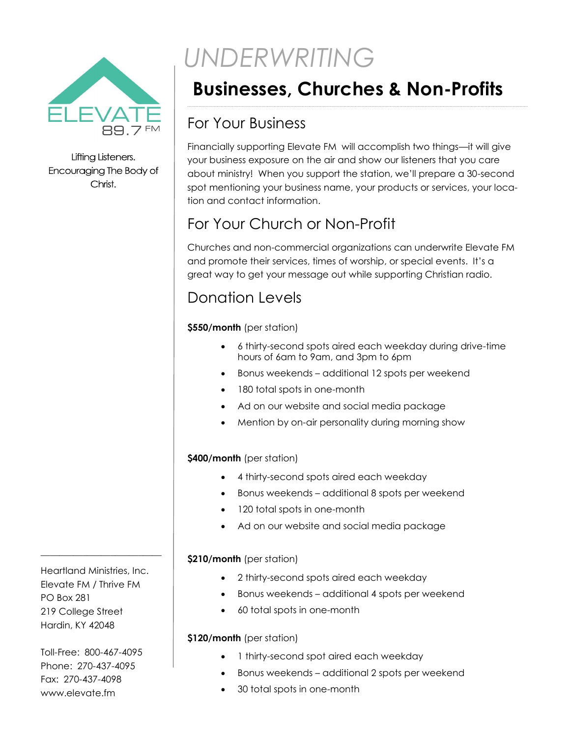

Lifting Listeners. Encouraging The Body of Christ.

# *UNDERWRITING*

# **Businesses, Churches & Non-Profits**

### For Your Business

Financially supporting Elevate FM will accomplish two things—it will give your business exposure on the air and show our listeners that you care about ministry! When you support the station, we'll prepare a 30-second spot mentioning your business name, your products or services, your location and contact information.

## For Your Church or Non-Profit

Churches and non-commercial organizations can underwrite Elevate FM and promote their services, times of worship, or special events. It's a great way to get your message out while supporting Christian radio.

### Donation Levels

#### **\$550/month** (per station)

- 6 thirty-second spots aired each weekday during drive-time hours of 6am to 9am, and 3pm to 6pm
- Bonus weekends additional 12 spots per weekend
- 180 total spots in one-month
- Ad on our website and social media package
- Mention by on-air personality during morning show

#### **\$400/month** (per station)

- 4 thirty-second spots aired each weekday
- Bonus weekends additional 8 spots per weekend
- 120 total spots in one-month
- Ad on our website and social media package

#### **\$210/month** (per station)

- 2 thirty-second spots aired each weekday
- Bonus weekends additional 4 spots per weekend
- 60 total spots in one-month

#### **\$120/month** (per station)

- 1 thirty-second spot aired each weekday
- Bonus weekends additional 2 spots per weekend
- 30 total spots in one-month

Heartland Ministries, Inc. Elevate FM / Thrive FM PO Box 281 219 College Street Hardin, KY 42048

\_\_\_\_\_\_\_\_\_\_\_\_\_\_\_\_\_\_\_\_\_\_\_\_\_\_

Toll-Free: 800-467-4095 Phone: 270-437-4095 Fax: 270-437-4098 www.elevate.fm